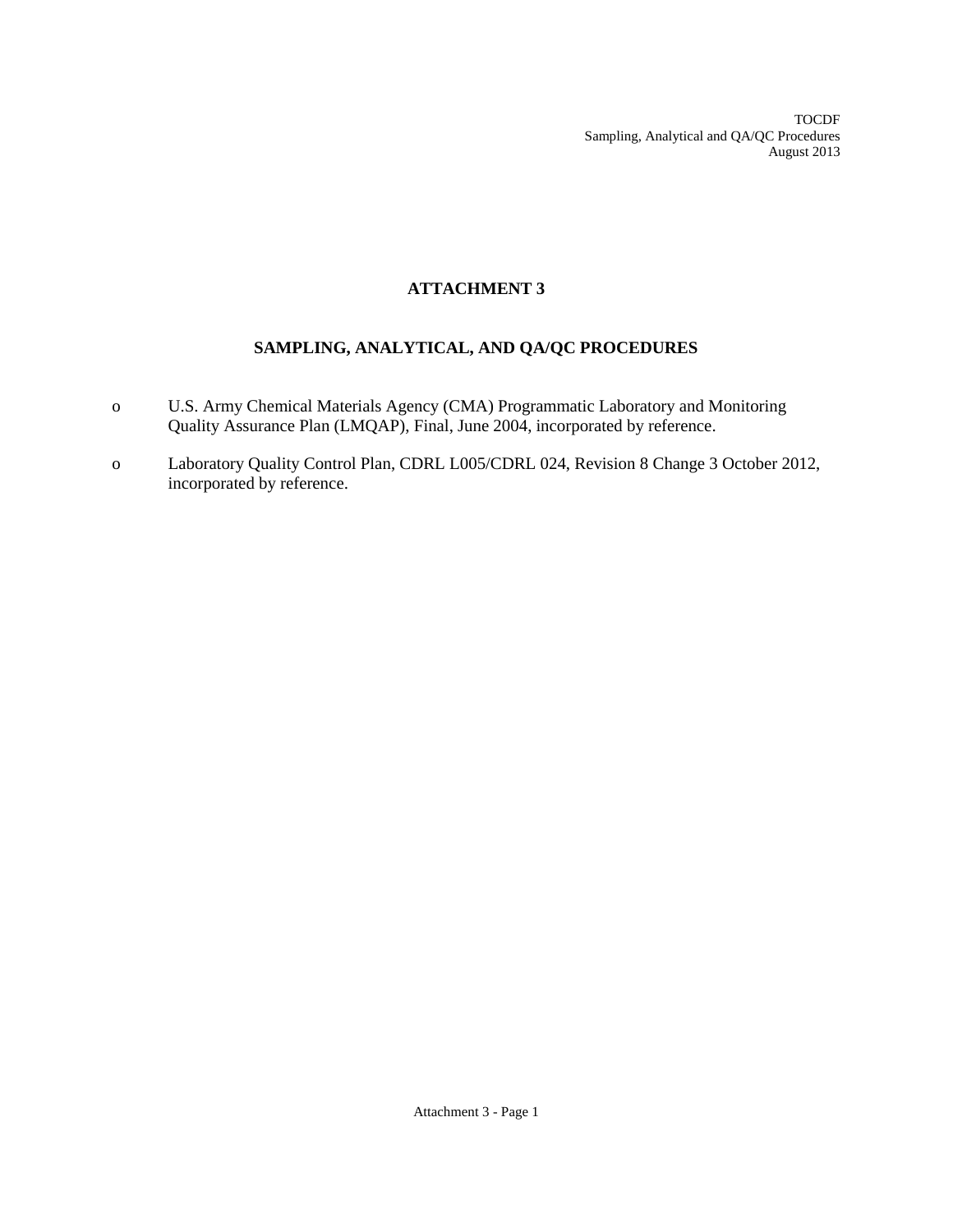TOCDF Sampling, Analytical and QA/QC Procedures August 2013

# **ATTACHMENT 3**

# **SAMPLING, ANALYTICAL, AND QA/QC PROCEDURES**

- o U.S. Army Chemical Materials Agency (CMA) Programmatic Laboratory and Monitoring Quality Assurance Plan (LMQAP), Final, June 2004, incorporated by reference.
- o Laboratory Quality Control Plan, CDRL L005/CDRL 024, Revision 8 Change 3 October 2012, incorporated by reference.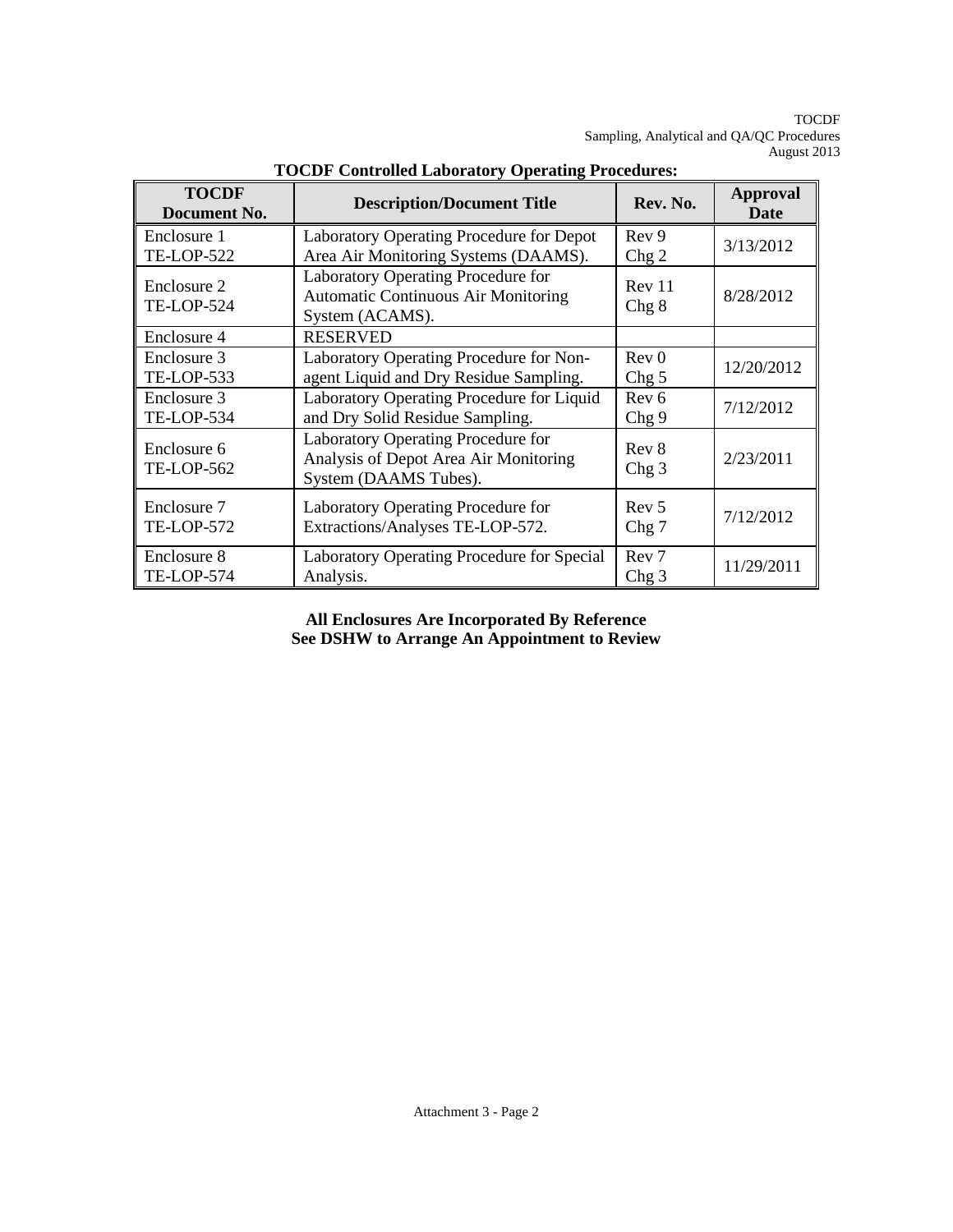#### TOCDF Sampling, Analytical and QA/QC Procedures August 2013

| <b>TOCDF</b><br>Document No.     | <b>Description/Document Title</b>                                                                    | Rev. No.                  | Approval<br>Date |
|----------------------------------|------------------------------------------------------------------------------------------------------|---------------------------|------------------|
| Enclosure 1                      | Laboratory Operating Procedure for Depot                                                             | Rev 9                     | 3/13/2012        |
| <b>TE-LOP-522</b>                | Area Air Monitoring Systems (DAAMS).                                                                 | Chg <sub>2</sub>          |                  |
| Enclosure 2<br><b>TE-LOP-524</b> | Laboratory Operating Procedure for<br><b>Automatic Continuous Air Monitoring</b><br>System (ACAMS).  | Rev 11<br>$Chg_8$         | 8/28/2012        |
| Enclosure 4                      | <b>RESERVED</b>                                                                                      |                           |                  |
| Enclosure 3                      | Laboratory Operating Procedure for Non-                                                              | Rev <sub>0</sub>          | 12/20/2012       |
| <b>TE-LOP-533</b>                | agent Liquid and Dry Residue Sampling.                                                               | Chg <sub>5</sub>          |                  |
| Enclosure 3                      | Laboratory Operating Procedure for Liquid                                                            | Rev <sub>6</sub>          | 7/12/2012        |
| TE-LOP-534                       | and Dry Solid Residue Sampling.                                                                      | Chg <sub>9</sub>          |                  |
| Enclosure 6<br><b>TE-LOP-562</b> | Laboratory Operating Procedure for<br>Analysis of Depot Area Air Monitoring<br>System (DAAMS Tubes). | Rev 8<br>Chg <sub>3</sub> | 2/23/2011        |
| Enclosure 7                      | Laboratory Operating Procedure for                                                                   | Rev <sub>5</sub>          | 7/12/2012        |
| <b>TE-LOP-572</b>                | Extractions/Analyses TE-LOP-572.                                                                     | Chg 7                     |                  |
| Enclosure 8                      | Laboratory Operating Procedure for Special                                                           | Rev <sub>7</sub>          | 11/29/2011       |
| <b>TE-LOP-574</b>                | Analysis.                                                                                            | Chg <sub>3</sub>          |                  |

## **TOCDF Controlled Laboratory Operating Procedures:**

**All Enclosures Are Incorporated By Reference See DSHW to Arrange An Appointment to Review**